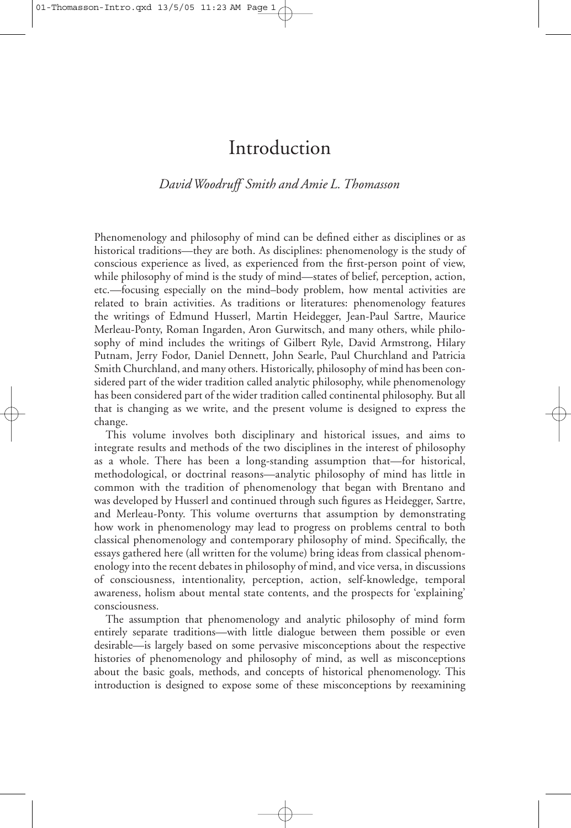*David Woodruff Smith and Amie L. Thomasson*

Phenomenology and philosophy of mind can be defined either as disciplines or as historical traditions—they are both. As disciplines: phenomenology is the study of conscious experience as lived, as experienced from the first-person point of view, while philosophy of mind is the study of mind—states of belief, perception, action, etc.—focusing especially on the mind–body problem, how mental activities are related to brain activities. As traditions or literatures: phenomenology features the writings of Edmund Husserl, Martin Heidegger, Jean-Paul Sartre, Maurice Merleau-Ponty, Roman Ingarden, Aron Gurwitsch, and many others, while philosophy of mind includes the writings of Gilbert Ryle, David Armstrong, Hilary Putnam, Jerry Fodor, Daniel Dennett, John Searle, Paul Churchland and Patricia Smith Churchland, and many others. Historically, philosophy of mind has been considered part of the wider tradition called analytic philosophy, while phenomenology has been considered part of the wider tradition called continental philosophy. But all that is changing as we write, and the present volume is designed to express the change.

This volume involves both disciplinary and historical issues, and aims to integrate results and methods of the two disciplines in the interest of philosophy as a whole. There has been a long-standing assumption that—for historical, methodological, or doctrinal reasons—analytic philosophy of mind has little in common with the tradition of phenomenology that began with Brentano and was developed by Husserl and continued through such figures as Heidegger, Sartre, and Merleau-Ponty. This volume overturns that assumption by demonstrating how work in phenomenology may lead to progress on problems central to both classical phenomenology and contemporary philosophy of mind. Specifically, the essays gathered here (all written for the volume) bring ideas from classical phenomenology into the recent debates in philosophy of mind, and vice versa, in discussions of consciousness, intentionality, perception, action, self-knowledge, temporal awareness, holism about mental state contents, and the prospects for 'explaining' consciousness.

The assumption that phenomenology and analytic philosophy of mind form entirely separate traditions—with little dialogue between them possible or even desirable—is largely based on some pervasive misconceptions about the respective histories of phenomenology and philosophy of mind, as well as misconceptions about the basic goals, methods, and concepts of historical phenomenology. This introduction is designed to expose some of these misconceptions by reexamining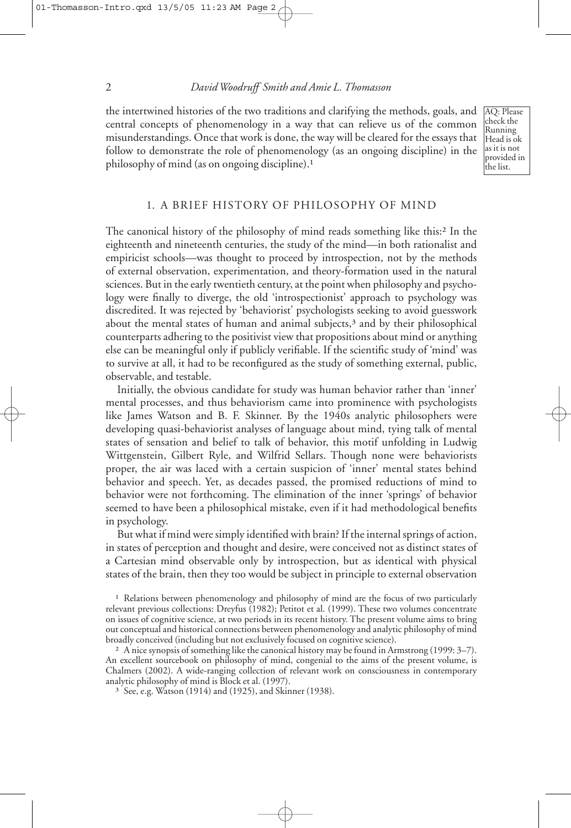the intertwined histories of the two traditions and clarifying the methods, goals, and AQ: Please central concepts of phenomenology in a way that can relieve us of the common misunderstandings. Once that work is done, the way will be cleared for the essays that follow to demonstrate the role of phenomenology (as an ongoing discipline) in the philosophy of mind (as on ongoing discipline).<sup>1</sup>

check the Running Head is ok as it is not provided in the list.

# 1. A BRIEF HISTORY OF PHILOSOPHY OF MIND

The canonical history of the philosophy of mind reads something like this:<sup>2</sup> In the eighteenth and nineteenth centuries, the study of the mind—in both rationalist and empiricist schools—was thought to proceed by introspection, not by the methods of external observation, experimentation, and theory-formation used in the natural sciences. But in the early twentieth century, at the point when philosophy and psychology were finally to diverge, the old 'introspectionist' approach to psychology was discredited. It was rejected by 'behaviorist' psychologists seeking to avoid guesswork about the mental states of human and animal subjects, $3$  and by their philosophical counterparts adhering to the positivist view that propositions about mind or anything else can be meaningful only if publicly verifiable. If the scientific study of 'mind' was to survive at all, it had to be reconfigured as the study of something external, public, observable, and testable.

Initially, the obvious candidate for study was human behavior rather than 'inner' mental processes, and thus behaviorism came into prominence with psychologists like James Watson and B. F. Skinner. By the 1940s analytic philosophers were developing quasi-behaviorist analyses of language about mind, tying talk of mental states of sensation and belief to talk of behavior, this motif unfolding in Ludwig Wittgenstein, Gilbert Ryle, and Wilfrid Sellars. Though none were behaviorists proper, the air was laced with a certain suspicion of 'inner' mental states behind behavior and speech. Yet, as decades passed, the promised reductions of mind to behavior were not forthcoming. The elimination of the inner 'springs' of behavior seemed to have been a philosophical mistake, even if it had methodological benefits in psychology.

But what if mind were simply identified with brain? If the internal springs of action, in states of perception and thought and desire, were conceived not as distinct states of a Cartesian mind observable only by introspection, but as identical with physical states of the brain, then they too would be subject in principle to external observation

³ See, e.g. Watson (1914) and (1925), and Skinner (1938).

 $1$  Relations between phenomenology and philosophy of mind are the focus of two particularly relevant previous collections: Dreyfus (1982); Petitot et al. (1999). These two volumes concentrate on issues of cognitive science, at two periods in its recent history. The present volume aims to bring out conceptual and historical connections between phenomenology and analytic philosophy of mind broadly conceived (including but not exclusively focused on cognitive science).

² A nice synopsis of something like the canonical history may be found in Armstrong (1999: 3–7). An excellent sourcebook on philosophy of mind, congenial to the aims of the present volume, is Chalmers (2002). A wide-ranging collection of relevant work on consciousness in contemporary analytic philosophy of mind is Block et al. (1997).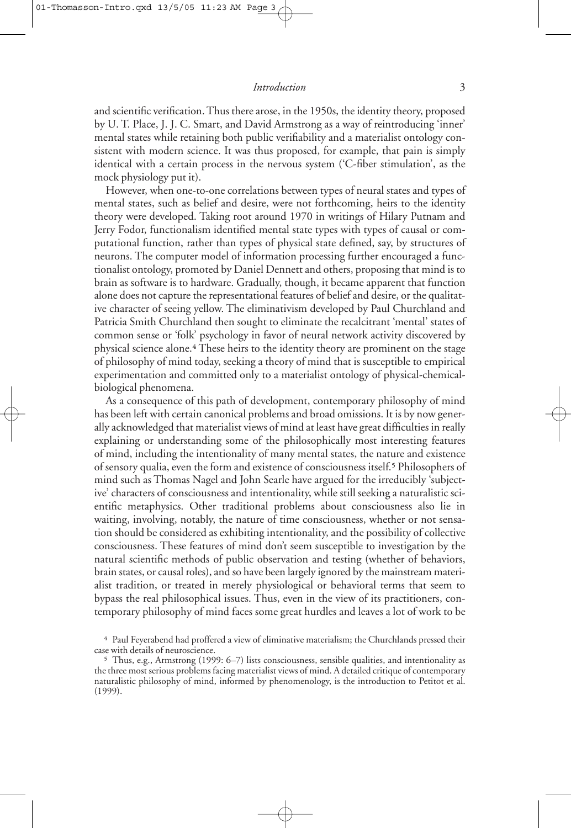and scientific verification. Thus there arose, in the 1950s, the identity theory, proposed by U. T. Place, J. J. C. Smart, and David Armstrong as a way of reintroducing 'inner' mental states while retaining both public verifiability and a materialist ontology consistent with modern science. It was thus proposed, for example, that pain is simply identical with a certain process in the nervous system ('C-fiber stimulation', as the mock physiology put it).

However, when one-to-one correlations between types of neural states and types of mental states, such as belief and desire, were not forthcoming, heirs to the identity theory were developed. Taking root around 1970 in writings of Hilary Putnam and Jerry Fodor, functionalism identified mental state types with types of causal or computational function, rather than types of physical state defined, say, by structures of neurons. The computer model of information processing further encouraged a functionalist ontology, promoted by Daniel Dennett and others, proposing that mind is to brain as software is to hardware. Gradually, though, it became apparent that function alone does not capture the representational features of belief and desire, or the qualitative character of seeing yellow. The eliminativism developed by Paul Churchland and Patricia Smith Churchland then sought to eliminate the recalcitrant 'mental' states of common sense or 'folk' psychology in favor of neural network activity discovered by physical science alone.<sup>4</sup> These heirs to the identity theory are prominent on the stage of philosophy of mind today, seeking a theory of mind that is susceptible to empirical experimentation and committed only to a materialist ontology of physical-chemicalbiological phenomena.

As a consequence of this path of development, contemporary philosophy of mind has been left with certain canonical problems and broad omissions. It is by now generally acknowledged that materialist views of mind at least have great difficulties in really explaining or understanding some of the philosophically most interesting features of mind, including the intentionality of many mental states, the nature and existence of sensory qualia, even the form and existence of consciousness itself.<sup>5</sup> Philosophers of mind such as Thomas Nagel and John Searle have argued for the irreducibly 'subjective' characters of consciousness and intentionality, while still seeking a naturalistic scientific metaphysics. Other traditional problems about consciousness also lie in waiting, involving, notably, the nature of time consciousness, whether or not sensation should be considered as exhibiting intentionality, and the possibility of collective consciousness. These features of mind don't seem susceptible to investigation by the natural scientific methods of public observation and testing (whether of behaviors, brain states, or causal roles), and so have been largely ignored by the mainstream materialist tradition, or treated in merely physiological or behavioral terms that seem to bypass the real philosophical issues. Thus, even in the view of its practitioners, contemporary philosophy of mind faces some great hurdles and leaves a lot of work to be

⁴ Paul Feyerabend had proffered a view of eliminative materialism; the Churchlands pressed their case with details of neuroscience.

⁵ Thus, e.g., Armstrong (1999: 6–7) lists consciousness, sensible qualities, and intentionality as the three most serious problems facing materialist views of mind. A detailed critique of contemporary naturalistic philosophy of mind, informed by phenomenology, is the introduction to Petitot et al. (1999).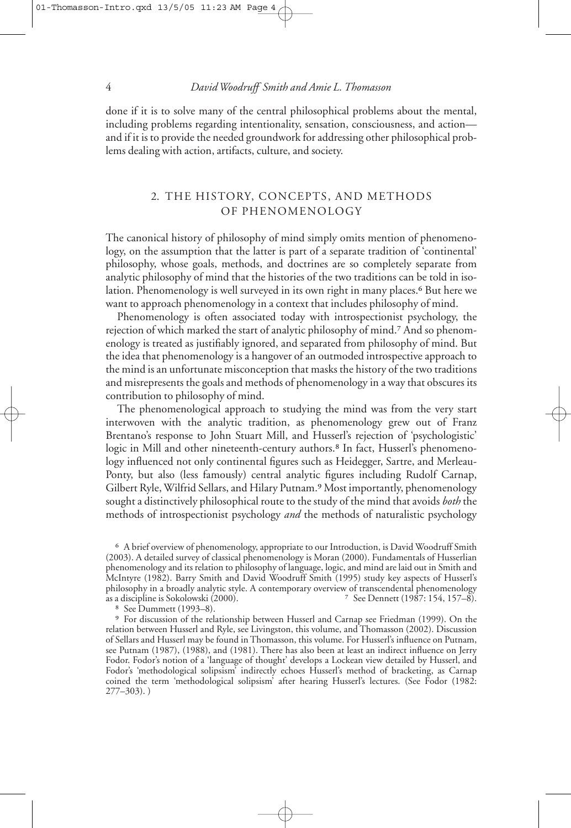done if it is to solve many of the central philosophical problems about the mental, including problems regarding intentionality, sensation, consciousness, and action and if it is to provide the needed groundwork for addressing other philosophical problems dealing with action, artifacts, culture, and society.

# 2. THE HISTORY, CONCEPTS, AND METHODS OF PHENOMENOLOGY

The canonical history of philosophy of mind simply omits mention of phenomenology, on the assumption that the latter is part of a separate tradition of 'continental' philosophy, whose goals, methods, and doctrines are so completely separate from analytic philosophy of mind that the histories of the two traditions can be told in isolation. Phenomenology is well surveyed in its own right in many places.<sup>6</sup> But here we want to approach phenomenology in a context that includes philosophy of mind.

Phenomenology is often associated today with introspectionist psychology, the rejection of which marked the start of analytic philosophy of mind.<sup>7</sup> And so phenomenology is treated as justifiably ignored, and separated from philosophy of mind. But the idea that phenomenology is a hangover of an outmoded introspective approach to the mind is an unfortunate misconception that masks the history of the two traditions and misrepresents the goals and methods of phenomenology in a way that obscures its contribution to philosophy of mind.

The phenomenological approach to studying the mind was from the very start interwoven with the analytic tradition, as phenomenology grew out of Franz Brentano's response to John Stuart Mill, and Husserl's rejection of 'psychologistic' logic in Mill and other nineteenth-century authors.<sup>8</sup> In fact, Husserl's phenomenology influenced not only continental figures such as Heidegger, Sartre, and Merleau-Ponty, but also (less famously) central analytic figures including Rudolf Carnap, Gilbert Ryle, Wilfrid Sellars, and Hilary Putnam.<sup>9</sup> Most importantly, phenomenology sought a distinctively philosophical route to the study of the mind that avoids *both* the methods of introspectionist psychology *and* the methods of naturalistic psychology

⁶ A brief overview of phenomenology, appropriate to our Introduction, is David Woodruff Smith (2003). A detailed survey of classical phenomenology is Moran (2000). Fundamentals of Husserlian phenomenology and its relation to philosophy of language, logic, and mind are laid out in Smith and McIntyre (1982). Barry Smith and David Woodruff Smith (1995) study key aspects of Husserl's philosophy in a broadly analytic style. A contemporary overview of transcendental phenomenology as a discipline is Sokolowski (2000). <sup>7</sup> See Dennett (1987: 154, 157–8). as a discipline is Sokolowski (2000).

⁸ See Dummett (1993–8).

⁹ For discussion of the relationship between Husserl and Carnap see Friedman (1999). On the relation between Husserl and Ryle, see Livingston, this volume, and Thomasson (2002). Discussion of Sellars and Husserl may be found in Thomasson, this volume. For Husserl's influence on Putnam, see Putnam (1987), (1988), and (1981). There has also been at least an indirect influence on Jerry Fodor. Fodor's notion of a 'language of thought' develops a Lockean view detailed by Husserl, and Fodor's 'methodological solipsism' indirectly echoes Husserl's method of bracketing, as Carnap coined the term 'methodological solipsism' after hearing Husserl's lectures. (See Fodor (1982: 277–303). )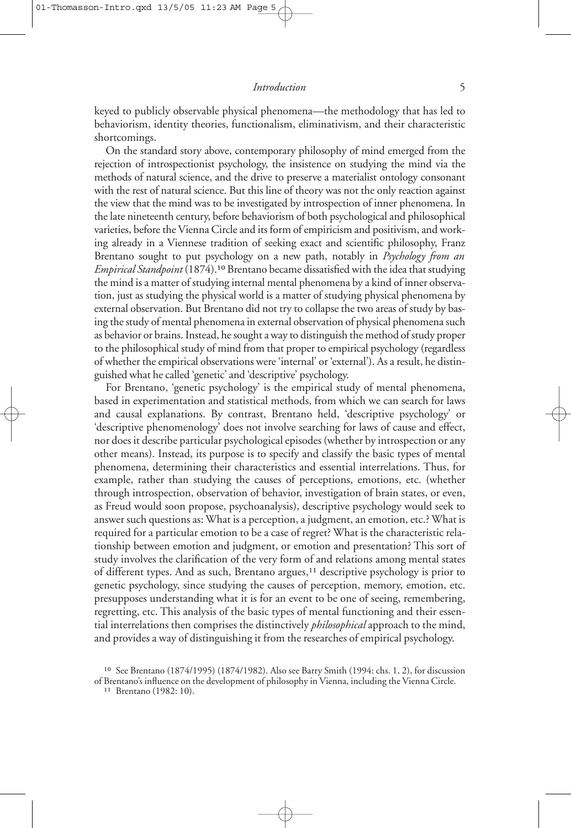keyed to publicly observable physical phenomena—the methodology that has led to behaviorism, identity theories, functionalism, eliminativism, and their characteristic shortcomings.

On the standard story above, contemporary philosophy of mind emerged from the rejection of introspectionist psychology, the insistence on studying the mind via the methods of natural science, and the drive to preserve a materialist ontology consonant with the rest of natural science. But this line of theory was not the only reaction against the view that the mind was to be investigated by introspection of inner phenomena. In the late nineteenth century, before behaviorism of both psychological and philosophical varieties, before the Vienna Circle and its form of empiricism and positivism, and working already in a Viennese tradition of seeking exact and scientific philosophy, Franz Brentano sought to put psychology on a new path, notably in *Psychology from an Empirical Standpoint* (1874).<sup>10</sup> Brentano became dissatisfied with the idea that studying the mind is a matter of studying internal mental phenomena by a kind of inner observation, just as studying the physical world is a matter of studying physical phenomena by external observation. But Brentano did not try to collapse the two areas of study by basing the study of mental phenomena in external observation of physical phenomena such as behavior or brains. Instead, he sought a way to distinguish the method of study proper to the philosophical study of mind from that proper to empirical psychology (regardless of whether the empirical observations were 'internal' or 'external'). As a result, he distinguished what he called 'genetic' and 'descriptive' psychology.

For Brentano, 'genetic psychology' is the empirical study of mental phenomena, based in experimentation and statistical methods, from which we can search for laws and causal explanations. By contrast, Brentano held, 'descriptive psychology' or 'descriptive phenomenology' does not involve searching for laws of cause and effect, nor does it describe particular psychological episodes (whether by introspection or any other means). Instead, its purpose is to specify and classify the basic types of mental phenomena, determining their characteristics and essential interrelations. Thus, for example, rather than studying the causes of perceptions, emotions, etc. (whether through introspection, observation of behavior, investigation of brain states, or even, as Freud would soon propose, psychoanalysis), descriptive psychology would seek to answer such questions as: What is a perception, a judgment, an emotion, etc.? What is required for a particular emotion to be a case of regret? What is the characteristic relationship between emotion and judgment, or emotion and presentation? This sort of study involves the clarification of the very form of and relations among mental states of different types. And as such, Brentano argues, $^{11}$  descriptive psychology is prior to genetic psychology, since studying the causes of perception, memory, emotion, etc. presupposes understanding what it is for an event to be one of seeing, remembering, regretting, etc. This analysis of the basic types of mental functioning and their essential interrelations then comprises the distinctively *philosophical* approach to the mind, and provides a way of distinguishing it from the researches of empirical psychology.

<sup>&</sup>lt;sup>10</sup> See Brentano (1874/1995) (1874/1982). Also see Barry Smith (1994: chs. 1, 2), for discussion of Brentano's influence on the development of philosophy in Vienna, including the Vienna Circle.

<sup>&</sup>lt;sup>11</sup> Brentano (1982: 10).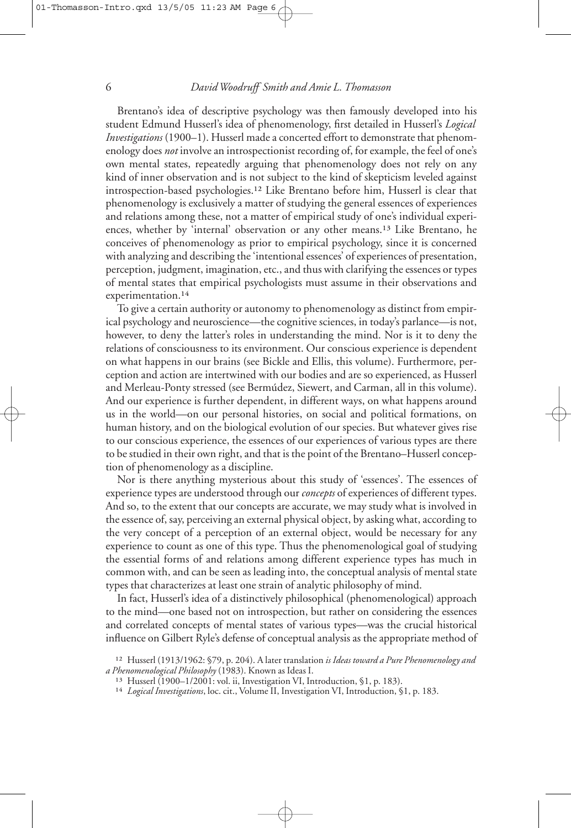Brentano's idea of descriptive psychology was then famously developed into his student Edmund Husserl's idea of phenomenology, first detailed in Husserl's *Logical Investigations* (1900–1). Husserl made a concerted effort to demonstrate that phenomenology does *not* involve an introspectionist recording of, for example, the feel of one's own mental states, repeatedly arguing that phenomenology does not rely on any kind of inner observation and is not subject to the kind of skepticism leveled against introspection-based psychologies.<sup>12</sup> Like Brentano before him, Husserl is clear that phenomenology is exclusively a matter of studying the general essences of experiences and relations among these, not a matter of empirical study of one's individual experiences, whether by 'internal' observation or any other means.<sup>13</sup> Like Brentano, he conceives of phenomenology as prior to empirical psychology, since it is concerned with analyzing and describing the 'intentional essences' of experiences of presentation, perception, judgment, imagination, etc., and thus with clarifying the essences or types of mental states that empirical psychologists must assume in their observations and experimentation.<sup>14</sup>

To give a certain authority or autonomy to phenomenology as distinct from empirical psychology and neuroscience—the cognitive sciences, in today's parlance—is not, however, to deny the latter's roles in understanding the mind. Nor is it to deny the relations of consciousness to its environment. Our conscious experience is dependent on what happens in our brains (see Bickle and Ellis, this volume). Furthermore, perception and action are intertwined with our bodies and are so experienced, as Husserl and Merleau-Ponty stressed (see Bermúdez, Siewert, and Carman, all in this volume). And our experience is further dependent, in different ways, on what happens around us in the world—on our personal histories, on social and political formations, on human history, and on the biological evolution of our species. But whatever gives rise to our conscious experience, the essences of our experiences of various types are there to be studied in their own right, and that is the point of the Brentano–Husserl conception of phenomenology as a discipline.

Nor is there anything mysterious about this study of 'essences'. The essences of experience types are understood through our *concepts* of experiences of different types. And so, to the extent that our concepts are accurate, we may study what is involved in the essence of, say, perceiving an external physical object, by asking what, according to the very concept of a perception of an external object, would be necessary for any experience to count as one of this type. Thus the phenomenological goal of studying the essential forms of and relations among different experience types has much in common with, and can be seen as leading into, the conceptual analysis of mental state types that characterizes at least one strain of analytic philosophy of mind.

In fact, Husserl's idea of a distinctively philosophical (phenomenological) approach to the mind—one based not on introspection, but rather on considering the essences and correlated concepts of mental states of various types—was the crucial historical influence on Gilbert Ryle's defense of conceptual analysis as the appropriate method of

<sup>14</sup> Logical Investigations, loc. cit., Volume II, Investigation VI, Introduction, §1, p. 183.

<sup>&</sup>lt;sup>12</sup> Husserl (1913/1962: §79, p. 204). A later translation *is Ideas toward a Pure Phenomenology and a Phenomenological Philosophy* (1983). Known as Ideas I.

<sup>&</sup>lt;sup>13</sup> Husserl  $(1900-1/2001)$ : vol. ii, Investigation VI, Introduction, §1, p. 183).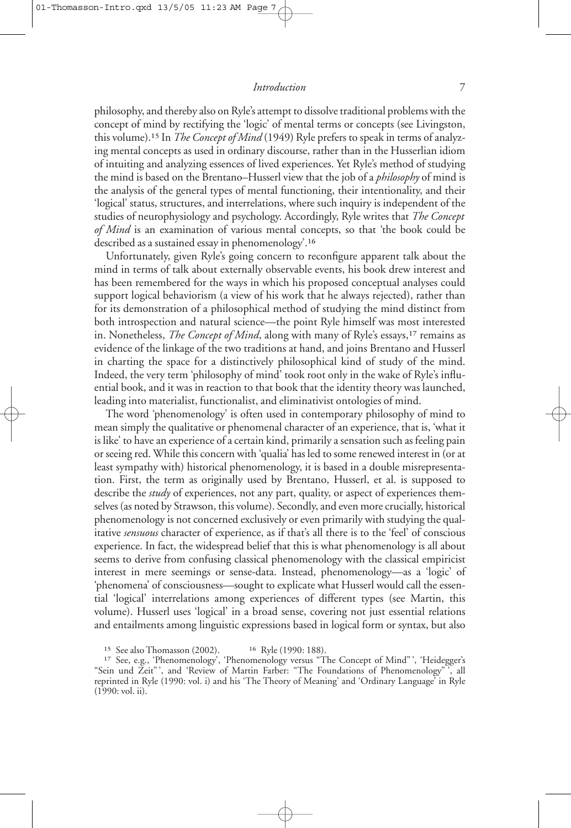philosophy, and thereby also on Ryle's attempt to dissolve traditional problems with the concept of mind by rectifying the 'logic' of mental terms or concepts (see Livingston, this volume).<sup>15</sup> In *The Concept of Mind* (1949) Ryle prefers to speak in terms of analyzing mental concepts as used in ordinary discourse, rather than in the Husserlian idiom of intuiting and analyzing essences of lived experiences. Yet Ryle's method of studying the mind is based on the Brentano–Husserl view that the job of a *philosophy* of mind is the analysis of the general types of mental functioning, their intentionality, and their 'logical' status, structures, and interrelations, where such inquiry is independent of the studies of neurophysiology and psychology. Accordingly, Ryle writes that *The Concept of Mind* is an examination of various mental concepts, so that 'the book could be described as a sustained essay in phenomenology'.<sup>16</sup>

Unfortunately, given Ryle's going concern to reconfigure apparent talk about the mind in terms of talk about externally observable events, his book drew interest and has been remembered for the ways in which his proposed conceptual analyses could support logical behaviorism (a view of his work that he always rejected), rather than for its demonstration of a philosophical method of studying the mind distinct from both introspection and natural science—the point Ryle himself was most interested in. Nonetheless, *The Concept of Mind*, along with many of Ryle's essays,<sup>17</sup> remains as evidence of the linkage of the two traditions at hand, and joins Brentano and Husserl in charting the space for a distinctively philosophical kind of study of the mind. Indeed, the very term 'philosophy of mind' took root only in the wake of Ryle's influential book, and it was in reaction to that book that the identity theory was launched, leading into materialist, functionalist, and eliminativist ontologies of mind.

The word 'phenomenology' is often used in contemporary philosophy of mind to mean simply the qualitative or phenomenal character of an experience, that is, 'what it is like' to have an experience of a certain kind, primarily a sensation such as feeling pain or seeing red. While this concern with 'qualia' has led to some renewed interest in (or at least sympathy with) historical phenomenology, it is based in a double misrepresentation. First, the term as originally used by Brentano, Husserl, et al. is supposed to describe the *study* of experiences, not any part, quality, or aspect of experiences themselves (as noted by Strawson, this volume). Secondly, and even more crucially, historical phenomenology is not concerned exclusively or even primarily with studying the qualitative *sensuous* character of experience, as if that's all there is to the 'feel' of conscious experience. In fact, the widespread belief that this is what phenomenology is all about seems to derive from confusing classical phenomenology with the classical empiricist interest in mere seemings or sense-data. Instead, phenomenology—as a 'logic' of 'phenomena' of consciousness—sought to explicate what Husserl would call the essential 'logical' interrelations among experiences of different types (see Martin, this volume). Husserl uses 'logical' in a broad sense, covering not just essential relations and entailments among linguistic expressions based in logical form or syntax, but also

<sup>&</sup>lt;sup>15</sup> See also Thomasson (2002). <sup>16</sup> Ryle (1990: 188).

<sup>&</sup>lt;sup>17</sup> See, e.g., 'Phenomenology', 'Phenomenology versus "The Concept of Mind"', 'Heidegger's<br>ein und Zeit"', and 'Review of Martin Farber: "The Foundations of Phenomenology"', all "Sein und Zeit"', and 'Review of Martin Farber: "The Foundations of Phenomenology" reprinted in Ryle (1990: vol. i) and his 'The Theory of Meaning' and 'Ordinary Language' in Ryle (1990: vol. ii).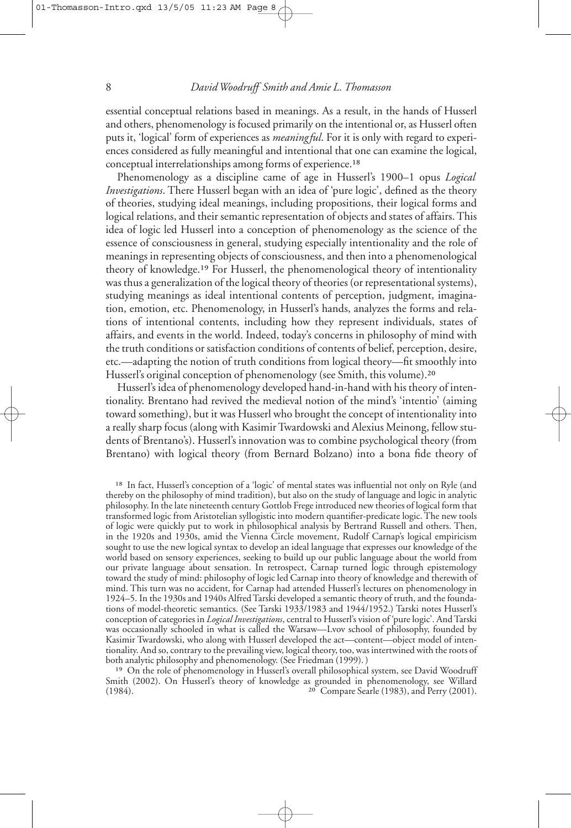essential conceptual relations based in meanings. As a result, in the hands of Husserl and others, phenomenology is focused primarily on the intentional or, as Husserl often puts it, 'logical' form of experiences as *meaningful*. For it is only with regard to experiences considered as fully meaningful and intentional that one can examine the logical, conceptual interrelationships among forms of experience.<sup>18</sup>

Phenomenology as a discipline came of age in Husserl's 1900–1 opus *Logical Investigations*. There Husserl began with an idea of 'pure logic', defined as the theory of theories, studying ideal meanings, including propositions, their logical forms and logical relations, and their semantic representation of objects and states of affairs. This idea of logic led Husserl into a conception of phenomenology as the science of the essence of consciousness in general, studying especially intentionality and the role of meanings in representing objects of consciousness, and then into a phenomenological theory of knowledge.<sup>19</sup> For Husserl, the phenomenological theory of intentionality was thus a generalization of the logical theory of theories (or representational systems), studying meanings as ideal intentional contents of perception, judgment, imagination, emotion, etc. Phenomenology, in Husserl's hands, analyzes the forms and relations of intentional contents, including how they represent individuals, states of affairs, and events in the world. Indeed, today's concerns in philosophy of mind with the truth conditions or satisfaction conditions of contents of belief, perception, desire, etc.—adapting the notion of truth conditions from logical theory—fit smoothly into Husserl's original conception of phenomenology (see Smith, this volume).<sup>20</sup>

Husserl's idea of phenomenology developed hand-in-hand with his theory of intentionality. Brentano had revived the medieval notion of the mind's 'intentio' (aiming toward something), but it was Husserl who brought the concept of intentionality into a really sharp focus (along with Kasimir Twardowski and Alexius Meinong, fellow students of Brentano's). Husserl's innovation was to combine psychological theory (from Brentano) with logical theory (from Bernard Bolzano) into a bona fide theory of

<sup>18</sup> In fact, Husserl's conception of a 'logic' of mental states was influential not only on Ryle (and thereby on the philosophy of mind tradition), but also on the study of language and logic in analytic philosophy. In the late nineteenth century Gottlob Frege introduced new theories of logical form that transformed logic from Aristotelian syllogistic into modern quantifier-predicate logic. The new tools of logic were quickly put to work in philosophical analysis by Bertrand Russell and others. Then, in the 1920s and 1930s, amid the Vienna Circle movement, Rudolf Carnap's logical empiricism sought to use the new logical syntax to develop an ideal language that expresses our knowledge of the world based on sensory experiences, seeking to build up our public language about the world from our private language about sensation. In retrospect, Carnap turned logic through epistemology toward the study of mind: philosophy of logic led Carnap into theory of knowledge and therewith of mind. This turn was no accident, for Carnap had attended Husserl's lectures on phenomenology in 1924–5. In the 1930s and 1940s Alfred Tarski developed a semantic theory of truth, and the foundations of model-theoretic semantics. (See Tarski 1933/1983 and 1944/1952.) Tarski notes Husserl's conception of categories in *Logical Investigations*, central to Husserl's vision of 'pure logic'. And Tarski was occasionally schooled in what is called the Warsaw—Lvov school of philosophy, founded by Kasimir Twardowski, who along with Husserl developed the act—content—object model of intentionality. And so, contrary to the prevailing view, logical theory, too, was intertwined with the roots of both analytic philosophy and phenomenology. (See Friedman (1999). )

<sup>19</sup> On the role of phenomenology in Husserl's overall philosophical system, see David Woodruff Smith (2002). On Husserl's theory of knowledge as grounded in phenomenology, see Willard (1984).<br><sup>20</sup> Compare Searle (1983), and Perry (2001). <sup>20</sup> Compare Searle (1983), and Perry (2001).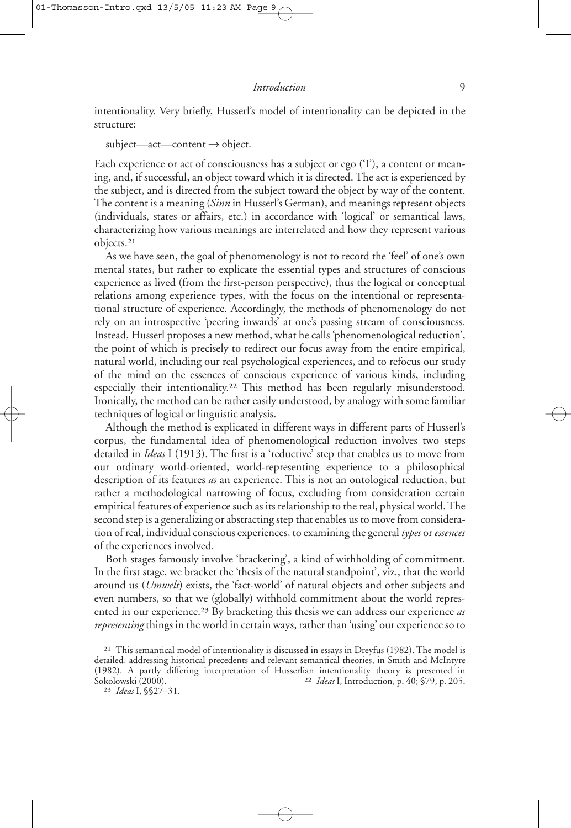intentionality. Very briefly, Husserl's model of intentionality can be depicted in the structure:

 $subject$ —act—content  $\rightarrow$  object.

Each experience or act of consciousness has a subject or ego ('I'), a content or meaning, and, if successful, an object toward which it is directed. The act is experienced by the subject, and is directed from the subject toward the object by way of the content. The content is a meaning (*Sinn* in Husserl's German), and meanings represent objects (individuals, states or affairs, etc.) in accordance with 'logical' or semantical laws, characterizing how various meanings are interrelated and how they represent various objects.<sup>21</sup>

As we have seen, the goal of phenomenology is not to record the 'feel' of one's own mental states, but rather to explicate the essential types and structures of conscious experience as lived (from the first-person perspective), thus the logical or conceptual relations among experience types, with the focus on the intentional or representational structure of experience. Accordingly, the methods of phenomenology do not rely on an introspective 'peering inwards' at one's passing stream of consciousness. Instead, Husserl proposes a new method, what he calls 'phenomenological reduction', the point of which is precisely to redirect our focus away from the entire empirical, natural world, including our real psychological experiences, and to refocus our study of the mind on the essences of conscious experience of various kinds, including especially their intentionality.<sup>22</sup> This method has been regularly misunderstood. Ironically, the method can be rather easily understood, by analogy with some familiar techniques of logical or linguistic analysis.

Although the method is explicated in different ways in different parts of Husserl's corpus, the fundamental idea of phenomenological reduction involves two steps detailed in *Ideas* I (1913). The first is a 'reductive' step that enables us to move from our ordinary world-oriented, world-representing experience to a philosophical description of its features *as* an experience. This is not an ontological reduction, but rather a methodological narrowing of focus, excluding from consideration certain empirical features of experience such as its relationship to the real, physical world. The second step is a generalizing or abstracting step that enables us to move from consideration of real, individual conscious experiences, to examining the general *types* or *essences* of the experiences involved.

Both stages famously involve 'bracketing', a kind of withholding of commitment. In the first stage, we bracket the 'thesis of the natural standpoint', viz., that the world around us (*Umwelt*) exists, the 'fact-world' of natural objects and other subjects and even numbers, so that we (globally) withhold commitment about the world represented in our experience.<sup>23</sup> By bracketing this thesis we can address our experience *as representing*things in the world in certain ways, rather than 'using' our experience so to

<sup>&</sup>lt;sup>21</sup> This semantical model of intentionality is discussed in essays in Dreyfus (1982). The model is detailed, addressing historical precedents and relevant semantical theories, in Smith and McIntyre (1982). A partly differing interpretation of Husserlian intentionality theory is presented in Sokolowski (2000).  $\frac{22 \text{ Ideas I}}{1}$ , Introduction, p. 40; \$79, p. 205. <sup>22</sup> *Ideas* I, Introduction, p. 40; §79, p. 205.

²³ *Ideas* I, §§27–31.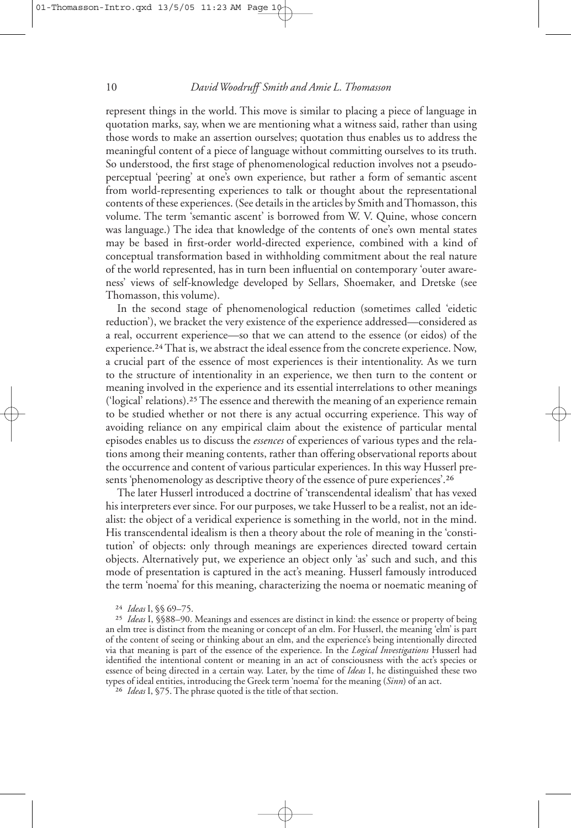represent things in the world. This move is similar to placing a piece of language in quotation marks, say, when we are mentioning what a witness said, rather than using those words to make an assertion ourselves; quotation thus enables us to address the meaningful content of a piece of language without committing ourselves to its truth. So understood, the first stage of phenomenological reduction involves not a pseudoperceptual 'peering' at one's own experience, but rather a form of semantic ascent from world-representing experiences to talk or thought about the representational contents of these experiences. (See details in the articles by Smith and Thomasson, this volume. The term 'semantic ascent' is borrowed from W. V. Quine, whose concern was language.) The idea that knowledge of the contents of one's own mental states may be based in first-order world-directed experience, combined with a kind of conceptual transformation based in withholding commitment about the real nature of the world represented, has in turn been influential on contemporary 'outer awareness' views of self-knowledge developed by Sellars, Shoemaker, and Dretske (see Thomasson, this volume).

In the second stage of phenomenological reduction (sometimes called 'eidetic reduction'), we bracket the very existence of the experience addressed—considered as a real, occurrent experience—so that we can attend to the essence (or eidos) of the experience.<sup>24</sup> That is, we abstract the ideal essence from the concrete experience. Now, a crucial part of the essence of most experiences is their intentionality. As we turn to the structure of intentionality in an experience, we then turn to the content or meaning involved in the experience and its essential interrelations to other meanings ('logical' relations).<sup>25</sup> The essence and therewith the meaning of an experience remain to be studied whether or not there is any actual occurring experience. This way of avoiding reliance on any empirical claim about the existence of particular mental episodes enables us to discuss the *essences* of experiences of various types and the relations among their meaning contents, rather than offering observational reports about the occurrence and content of various particular experiences. In this way Husserl presents 'phenomenology as descriptive theory of the essence of pure experiences'.<sup>26</sup>

The later Husserl introduced a doctrine of 'transcendental idealism' that has vexed his interpreters ever since. For our purposes, we take Husserl to be a realist, not an idealist: the object of a veridical experience is something in the world, not in the mind. His transcendental idealism is then a theory about the role of meaning in the 'constitution' of objects: only through meanings are experiences directed toward certain objects. Alternatively put, we experience an object only 'as' such and such, and this mode of presentation is captured in the act's meaning. Husserl famously introduced the term 'noema' for this meaning, characterizing the noema or noematic meaning of

²⁴ *Ideas* I, §§ 69–75.

<sup>25</sup> *Ideas* I, §§88–90. Meanings and essences are distinct in kind: the essence or property of being an elm tree is distinct from the meaning or concept of an elm. For Husserl, the meaning 'elm' is part of the content of seeing or thinking about an elm, and the experience's being intentionally directed via that meaning is part of the essence of the experience. In the *Logical Investigations* Husserl had identified the intentional content or meaning in an act of consciousness with the act's species or essence of being directed in a certain way. Later, by the time of *Ideas* I, he distinguished these two types of ideal entities, introducing the Greek term 'noema' for the meaning (*Sinn*) of an act.

<sup>26</sup> *Ideas* I, §75. The phrase quoted is the title of that section.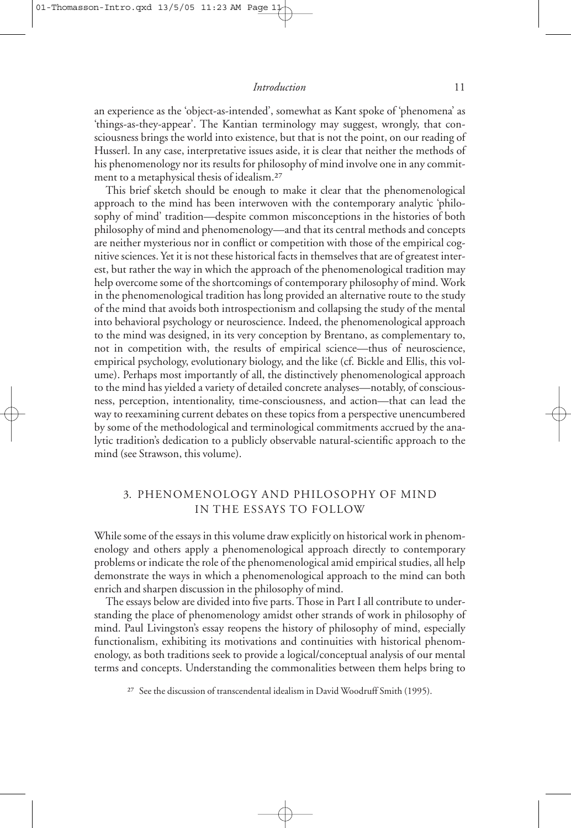an experience as the 'object-as-intended', somewhat as Kant spoke of 'phenomena' as 'things-as-they-appear'. The Kantian terminology may suggest, wrongly, that consciousness brings the world into existence, but that is not the point, on our reading of Husserl. In any case, interpretative issues aside, it is clear that neither the methods of his phenomenology nor its results for philosophy of mind involve one in any commitment to a metaphysical thesis of idealism.<sup>27</sup>

This brief sketch should be enough to make it clear that the phenomenological approach to the mind has been interwoven with the contemporary analytic 'philosophy of mind' tradition—despite common misconceptions in the histories of both philosophy of mind and phenomenology—and that its central methods and concepts are neither mysterious nor in conflict or competition with those of the empirical cognitive sciences. Yet it is not these historical facts in themselves that are of greatest interest, but rather the way in which the approach of the phenomenological tradition may help overcome some of the shortcomings of contemporary philosophy of mind. Work in the phenomenological tradition has long provided an alternative route to the study of the mind that avoids both introspectionism and collapsing the study of the mental into behavioral psychology or neuroscience. Indeed, the phenomenological approach to the mind was designed, in its very conception by Brentano, as complementary to, not in competition with, the results of empirical science—thus of neuroscience, empirical psychology, evolutionary biology, and the like (cf. Bickle and Ellis, this volume). Perhaps most importantly of all, the distinctively phenomenological approach to the mind has yielded a variety of detailed concrete analyses—notably, of consciousness, perception, intentionality, time-consciousness, and action—that can lead the way to reexamining current debates on these topics from a perspective unencumbered by some of the methodological and terminological commitments accrued by the analytic tradition's dedication to a publicly observable natural-scientific approach to the mind (see Strawson, this volume).

# 3. PHENOMENOLOGY AND PHILOSOPHY OF MIND IN THE ESSAYS TO FOLLOW

While some of the essays in this volume draw explicitly on historical work in phenomenology and others apply a phenomenological approach directly to contemporary problems or indicate the role of the phenomenological amid empirical studies, all help demonstrate the ways in which a phenomenological approach to the mind can both enrich and sharpen discussion in the philosophy of mind.

The essays below are divided into five parts. Those in Part I all contribute to understanding the place of phenomenology amidst other strands of work in philosophy of mind. Paul Livingston's essay reopens the history of philosophy of mind, especially functionalism, exhibiting its motivations and continuities with historical phenomenology, as both traditions seek to provide a logical/conceptual analysis of our mental terms and concepts. Understanding the commonalities between them helps bring to

<sup>27</sup> See the discussion of transcendental idealism in David Woodruff Smith (1995).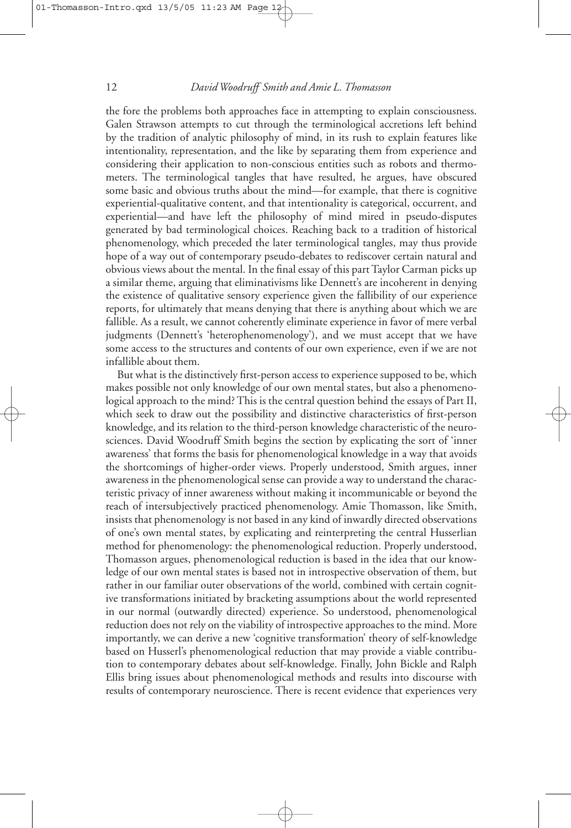the fore the problems both approaches face in attempting to explain consciousness. Galen Strawson attempts to cut through the terminological accretions left behind by the tradition of analytic philosophy of mind, in its rush to explain features like intentionality, representation, and the like by separating them from experience and considering their application to non-conscious entities such as robots and thermometers. The terminological tangles that have resulted, he argues, have obscured some basic and obvious truths about the mind—for example, that there is cognitive experiential-qualitative content, and that intentionality is categorical, occurrent, and experiential—and have left the philosophy of mind mired in pseudo-disputes generated by bad terminological choices. Reaching back to a tradition of historical phenomenology, which preceded the later terminological tangles, may thus provide hope of a way out of contemporary pseudo-debates to rediscover certain natural and obvious views about the mental. In the final essay of this part Taylor Carman picks up a similar theme, arguing that eliminativisms like Dennett's are incoherent in denying the existence of qualitative sensory experience given the fallibility of our experience reports, for ultimately that means denying that there is anything about which we are fallible. As a result, we cannot coherently eliminate experience in favor of mere verbal judgments (Dennett's 'heterophenomenology'), and we must accept that we have some access to the structures and contents of our own experience, even if we are not infallible about them.

But what is the distinctively first-person access to experience supposed to be, which makes possible not only knowledge of our own mental states, but also a phenomenological approach to the mind? This is the central question behind the essays of Part II, which seek to draw out the possibility and distinctive characteristics of first-person knowledge, and its relation to the third-person knowledge characteristic of the neurosciences. David Woodruff Smith begins the section by explicating the sort of 'inner awareness' that forms the basis for phenomenological knowledge in a way that avoids the shortcomings of higher-order views. Properly understood, Smith argues, inner awareness in the phenomenological sense can provide a way to understand the characteristic privacy of inner awareness without making it incommunicable or beyond the reach of intersubjectively practiced phenomenology. Amie Thomasson, like Smith, insists that phenomenology is not based in any kind of inwardly directed observations of one's own mental states, by explicating and reinterpreting the central Husserlian method for phenomenology: the phenomenological reduction. Properly understood, Thomasson argues, phenomenological reduction is based in the idea that our knowledge of our own mental states is based not in introspective observation of them, but rather in our familiar outer observations of the world, combined with certain cognitive transformations initiated by bracketing assumptions about the world represented in our normal (outwardly directed) experience. So understood, phenomenological reduction does not rely on the viability of introspective approaches to the mind. More importantly, we can derive a new 'cognitive transformation' theory of self-knowledge based on Husserl's phenomenological reduction that may provide a viable contribution to contemporary debates about self-knowledge. Finally, John Bickle and Ralph Ellis bring issues about phenomenological methods and results into discourse with results of contemporary neuroscience. There is recent evidence that experiences very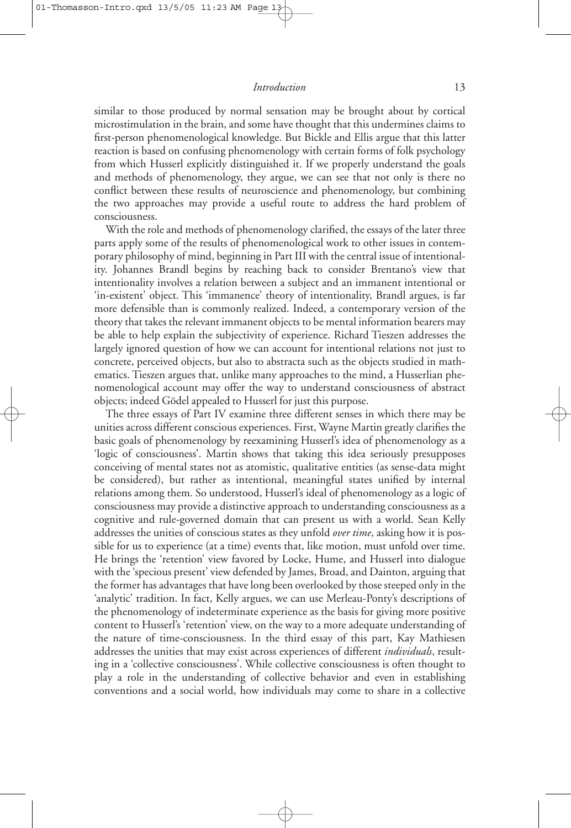similar to those produced by normal sensation may be brought about by cortical microstimulation in the brain, and some have thought that this undermines claims to first-person phenomenological knowledge. But Bickle and Ellis argue that this latter reaction is based on confusing phenomenology with certain forms of folk psychology from which Husserl explicitly distinguished it. If we properly understand the goals and methods of phenomenology, they argue, we can see that not only is there no conflict between these results of neuroscience and phenomenology, but combining the two approaches may provide a useful route to address the hard problem of consciousness.

With the role and methods of phenomenology clarified, the essays of the later three parts apply some of the results of phenomenological work to other issues in contemporary philosophy of mind, beginning in Part III with the central issue of intentionality. Johannes Brandl begins by reaching back to consider Brentano's view that intentionality involves a relation between a subject and an immanent intentional or 'in-existent' object. This 'immanence' theory of intentionality, Brandl argues, is far more defensible than is commonly realized. Indeed, a contemporary version of the theory that takes the relevant immanent objects to be mental information bearers may be able to help explain the subjectivity of experience. Richard Tieszen addresses the largely ignored question of how we can account for intentional relations not just to concrete, perceived objects, but also to abstracta such as the objects studied in mathematics. Tieszen argues that, unlike many approaches to the mind, a Husserlian phenomenological account may offer the way to understand consciousness of abstract objects; indeed Gödel appealed to Husserl for just this purpose.

The three essays of Part IV examine three different senses in which there may be unities across different conscious experiences. First, Wayne Martin greatly clarifies the basic goals of phenomenology by reexamining Husserl's idea of phenomenology as a 'logic of consciousness'. Martin shows that taking this idea seriously presupposes conceiving of mental states not as atomistic, qualitative entities (as sense-data might be considered), but rather as intentional, meaningful states unified by internal relations among them. So understood, Husserl's ideal of phenomenology as a logic of consciousness may provide a distinctive approach to understanding consciousness as a cognitive and rule-governed domain that can present us with a world. Sean Kelly addresses the unities of conscious states as they unfold *over time*, asking how it is possible for us to experience (at a time) events that, like motion, must unfold over time. He brings the 'retention' view favored by Locke, Hume, and Husserl into dialogue with the 'specious present' view defended by James, Broad, and Dainton, arguing that the former has advantages that have long been overlooked by those steeped only in the 'analytic' tradition. In fact, Kelly argues, we can use Merleau-Ponty's descriptions of the phenomenology of indeterminate experience as the basis for giving more positive content to Husserl's 'retention' view, on the way to a more adequate understanding of the nature of time-consciousness. In the third essay of this part, Kay Mathiesen addresses the unities that may exist across experiences of different *individuals*, resulting in a 'collective consciousness'. While collective consciousness is often thought to play a role in the understanding of collective behavior and even in establishing conventions and a social world, how individuals may come to share in a collective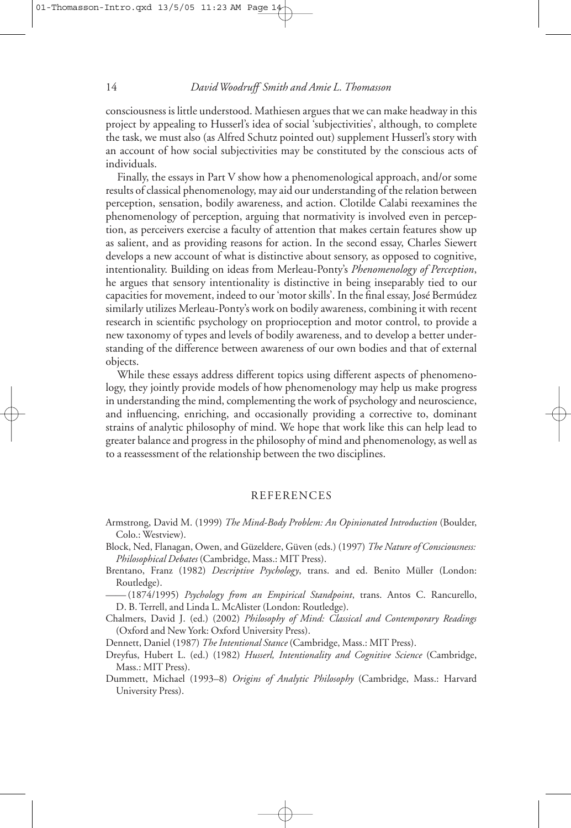consciousness is little understood. Mathiesen argues that we can make headway in this project by appealing to Husserl's idea of social 'subjectivities', although, to complete the task, we must also (as Alfred Schutz pointed out) supplement Husserl's story with an account of how social subjectivities may be constituted by the conscious acts of individuals.

Finally, the essays in Part V show how a phenomenological approach, and/or some results of classical phenomenology, may aid our understanding of the relation between perception, sensation, bodily awareness, and action. Clotilde Calabi reexamines the phenomenology of perception, arguing that normativity is involved even in perception, as perceivers exercise a faculty of attention that makes certain features show up as salient, and as providing reasons for action. In the second essay, Charles Siewert develops a new account of what is distinctive about sensory, as opposed to cognitive, intentionality. Building on ideas from Merleau-Ponty's *Phenomenology of Perception*, he argues that sensory intentionality is distinctive in being inseparably tied to our capacities for movement, indeed to our 'motor skills'. In the final essay, José Bermúdez similarly utilizes Merleau-Ponty's work on bodily awareness, combining it with recent research in scientific psychology on proprioception and motor control, to provide a new taxonomy of types and levels of bodily awareness, and to develop a better understanding of the difference between awareness of our own bodies and that of external objects.

While these essays address different topics using different aspects of phenomenology, they jointly provide models of how phenomenology may help us make progress in understanding the mind, complementing the work of psychology and neuroscience, and influencing, enriching, and occasionally providing a corrective to, dominant strains of analytic philosophy of mind. We hope that work like this can help lead to greater balance and progress in the philosophy of mind and phenomenology, as well as to a reassessment of the relationship between the two disciplines.

#### REFERENCES

Armstrong, David M. (1999) *The Mind-Body Problem: An Opinionated Introduction* (Boulder, Colo.: Westview).

- Block, Ned, Flanagan, Owen, and Güzeldere, Güven (eds.) (1997) *The Nature of Consciousness: Philosophical Debates* (Cambridge, Mass.: MIT Press).
- Brentano, Franz (1982) *Descriptive Psychology*, trans. and ed. Benito Müller (London: Routledge).
- —— (1874/1995) *Psychology from an Empirical Standpoint*, trans. Antos C. Rancurello, D. B. Terrell, and Linda L. McAlister (London: Routledge).

Chalmers, David J. (ed.) (2002) *Philosophy of Mind: Classical and Contemporary Readings* (Oxford and New York: Oxford University Press).

Dennett, Daniel (1987) *The Intentional Stance* (Cambridge, Mass.: MIT Press).

- Dreyfus, Hubert L. (ed.) (1982) *Husserl, Intentionality and Cognitive Science* (Cambridge, Mass.: MIT Press).
- Dummett, Michael (1993–8) *Origins of Analytic Philosophy* (Cambridge, Mass.: Harvard University Press).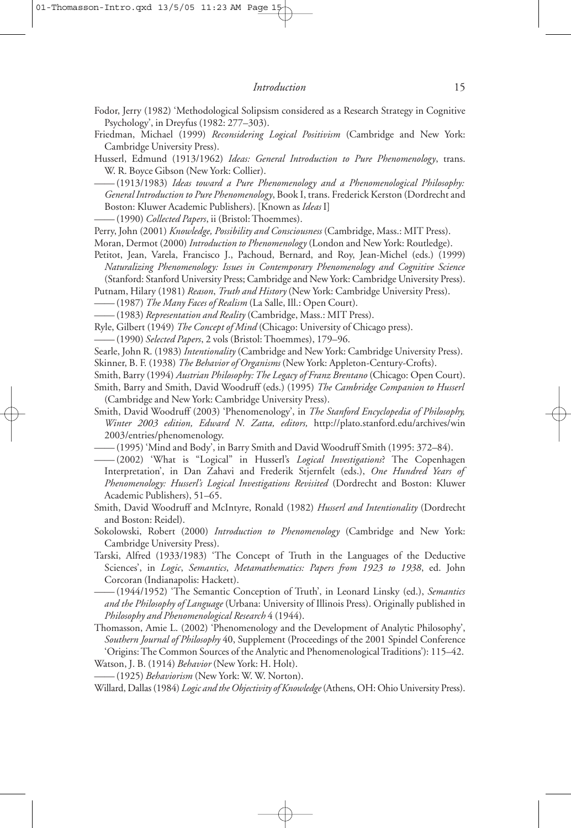Fodor, Jerry (1982) 'Methodological Solipsism considered as a Research Strategy in Cognitive Psychology', in Dreyfus (1982: 277–303).

Friedman, Michael (1999) *Reconsidering Logical Positivism* (Cambridge and New York: Cambridge University Press).

Husserl, Edmund (1913/1962) *Ideas: General Introduction to Pure Phenomenology*, trans. W. R. Boyce Gibson (New York: Collier).

—— (1913/1983) *Ideas toward a Pure Phenomenology and a Phenomenological Philosophy: General Introduction to Pure Phenomenology*, Book I, trans. Frederick Kerston (Dordrecht and Boston: Kluwer Academic Publishers). [Known as *Ideas* I]

—— (1990) *Collected Papers*, ii (Bristol: Thoemmes).

Perry, John (2001) *Knowledge, Possibility and Consciousness* (Cambridge, Mass.: MIT Press).

Moran, Dermot (2000) *Introduction to Phenomenology* (London and New York: Routledge).

Petitot, Jean, Varela, Francisco J., Pachoud, Bernard, and Roy, Jean-Michel (eds.) (1999) *Naturalizing Phenomenology: Issues in Contemporary Phenomenology and Cognitive Science* (Stanford: Stanford University Press; Cambridge and New York: Cambridge University Press).

Putnam, Hilary (1981) *Reason*, *Truth and History* (New York: Cambridge University Press).

—— (1987) *The Many Faces of Realism* (La Salle, Ill.: Open Court).

—— (1983) *Representation and Reality* (Cambridge, Mass.: MIT Press).

Ryle, Gilbert (1949) *The Concept of Mind* (Chicago: University of Chicago press).

—— (1990) *Selected Papers*, 2 vols (Bristol: Thoemmes), 179–96.

Searle, John R. (1983) *Intentionality* (Cambridge and New York: Cambridge University Press). Skinner, B. F. (1938) *The Behavior of Organisms* (New York: Appleton-Century-Crofts).

Smith, Barry (1994) *Austrian Philosophy: The Legacy of Franz Brentano* (Chicago: Open Court).

Smith, Barry and Smith, David Woodruff (eds.) (1995) *The Cambridge Companion to Husserl* (Cambridge and New York: Cambridge University Press).

Smith, David Woodruff (2003) 'Phenomenology', in *The Stanford Encyclopedia of Philosophy, Winter 2003 edition, Edward N. Zatta, editors,* http://plato.stanford.edu/archives/win 2003/entries/phenomenology.

—— (1995) 'Mind and Body', in Barry Smith and David Woodruff Smith (1995: 372–84).

—— (2002) 'What is "Logical" in Husserl's *Logical Investigations*? The Copenhagen Interpretation', in Dan Zahavi and Frederik Stjernfelt (eds.), *One Hundred Years of Phenomenology: Husserl's Logical Investigations Revisited* (Dordrecht and Boston: Kluwer Academic Publishers), 51–65.

Smith, David Woodruff and McIntyre, Ronald (1982) *Husserl and Intentionality* (Dordrecht and Boston: Reidel).

Sokolowski, Robert (2000) *Introduction to Phenomenology* (Cambridge and New York: Cambridge University Press).

Tarski, Alfred (1933/1983) 'The Concept of Truth in the Languages of the Deductive Sciences', in *Logic*, *Semantics*, *Metamathematics: Papers from 1923 to 1938*, ed. John Corcoran (Indianapolis: Hackett).

—— (1944/1952) 'The Semantic Conception of Truth', in Leonard Linsky (ed.), *Semantics and the Philosophy of Language* (Urbana: University of Illinois Press). Originally published in *Philosophy and Phenomenological Research* 4 (1944).

Thomasson, Amie L. (2002) 'Phenomenology and the Development of Analytic Philosophy', *Southern Journal of Philosophy* 40, Supplement (Proceedings of the 2001 Spindel Conference 'Origins: The Common Sources of the Analytic and Phenomenological Traditions'): 115–42.

Watson, J. B. (1914) *Behavior* (New York: H. Holt).

—— (1925) *Behaviorism* (New York: W. W. Norton).

Willard, Dallas (1984) *Logic and the Objectivity of Knowledge*(Athens, OH: Ohio University Press).